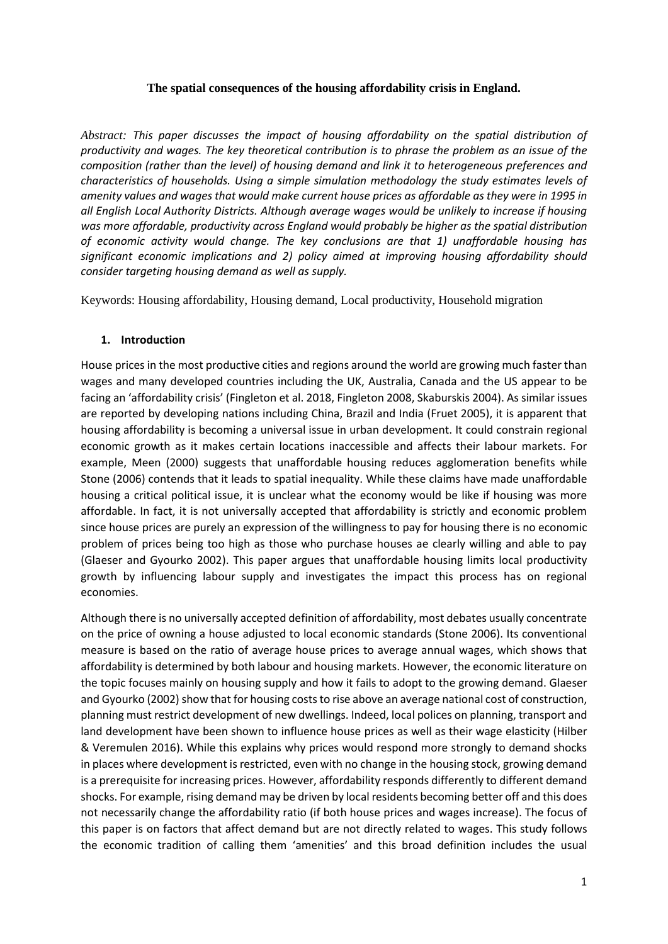## **The spatial consequences of the housing affordability crisis in England.**

*Abstract: This paper discusses the impact of housing affordability on the spatial distribution of productivity and wages. The key theoretical contribution is to phrase the problem as an issue of the composition (rather than the level) of housing demand and link it to heterogeneous preferences and characteristics of households. Using a simple simulation methodology the study estimates levels of amenity values and wages that would make current house prices as affordable as they were in 1995 in all English Local Authority Districts. Although average wages would be unlikely to increase if housing was more affordable, productivity across England would probably be higher as the spatial distribution of economic activity would change. The key conclusions are that 1) unaffordable housing has significant economic implications and 2) policy aimed at improving housing affordability should consider targeting housing demand as well as supply.* 

Keywords: Housing affordability, Housing demand, Local productivity, Household migration

## **1. Introduction**

House prices in the most productive cities and regions around the world are growing much faster than wages and many developed countries including the UK, Australia, Canada and the US appear to be facing an 'affordability crisis' (Fingleton et al. 2018, Fingleton 2008, Skaburskis 2004). As similar issues are reported by developing nations including China, Brazil and India (Fruet 2005), it is apparent that housing affordability is becoming a universal issue in urban development. It could constrain regional economic growth as it makes certain locations inaccessible and affects their labour markets. For example, Meen (2000) suggests that unaffordable housing reduces agglomeration benefits while Stone (2006) contends that it leads to spatial inequality. While these claims have made unaffordable housing a critical political issue, it is unclear what the economy would be like if housing was more affordable. In fact, it is not universally accepted that affordability is strictly and economic problem since house prices are purely an expression of the willingness to pay for housing there is no economic problem of prices being too high as those who purchase houses ae clearly willing and able to pay (Glaeser and Gyourko 2002). This paper argues that unaffordable housing limits local productivity growth by influencing labour supply and investigates the impact this process has on regional economies.

Although there is no universally accepted definition of affordability, most debates usually concentrate on the price of owning a house adjusted to local economic standards (Stone 2006). Its conventional measure is based on the ratio of average house prices to average annual wages, which shows that affordability is determined by both labour and housing markets. However, the economic literature on the topic focuses mainly on housing supply and how it fails to adopt to the growing demand. Glaeser and Gyourko (2002) show that for housing costs to rise above an average national cost of construction, planning must restrict development of new dwellings. Indeed, local polices on planning, transport and land development have been shown to influence house prices as well as their wage elasticity (Hilber & Veremulen 2016). While this explains why prices would respond more strongly to demand shocks in places where development is restricted, even with no change in the housing stock, growing demand is a prerequisite for increasing prices. However, affordability responds differently to different demand shocks. For example, rising demand may be driven by local residents becoming better off and this does not necessarily change the affordability ratio (if both house prices and wages increase). The focus of this paper is on factors that affect demand but are not directly related to wages. This study follows the economic tradition of calling them 'amenities' and this broad definition includes the usual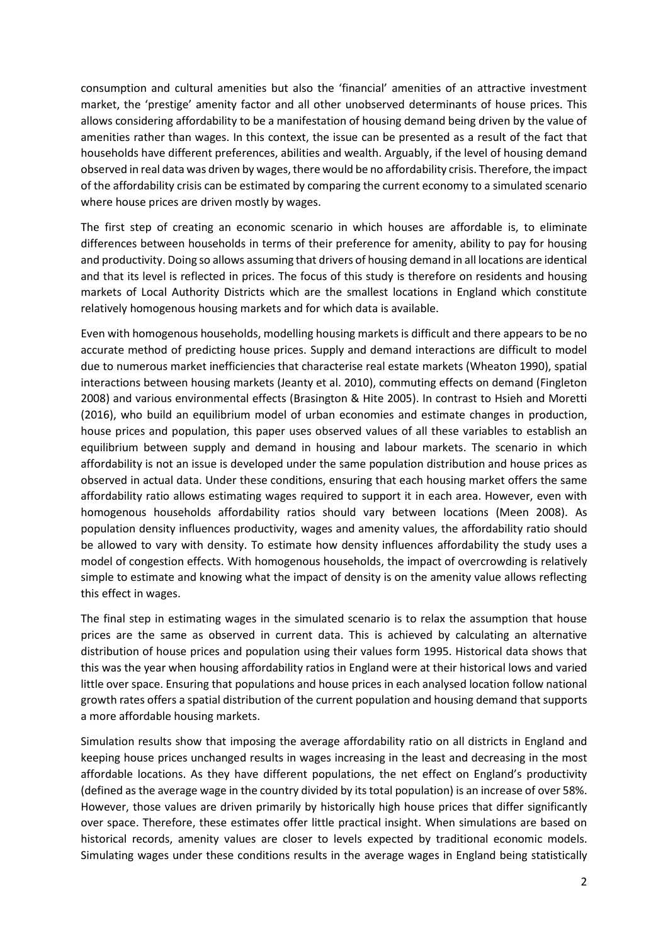consumption and cultural amenities but also the 'financial' amenities of an attractive investment market, the 'prestige' amenity factor and all other unobserved determinants of house prices. This allows considering affordability to be a manifestation of housing demand being driven by the value of amenities rather than wages. In this context, the issue can be presented as a result of the fact that households have different preferences, abilities and wealth. Arguably, if the level of housing demand observed in real data was driven by wages, there would be no affordability crisis. Therefore, the impact of the affordability crisis can be estimated by comparing the current economy to a simulated scenario where house prices are driven mostly by wages.

The first step of creating an economic scenario in which houses are affordable is, to eliminate differences between households in terms of their preference for amenity, ability to pay for housing and productivity. Doing so allows assuming that drivers of housing demand in all locations are identical and that its level is reflected in prices. The focus of this study is therefore on residents and housing markets of Local Authority Districts which are the smallest locations in England which constitute relatively homogenous housing markets and for which data is available.

Even with homogenous households, modelling housing markets is difficult and there appears to be no accurate method of predicting house prices. Supply and demand interactions are difficult to model due to numerous market inefficiencies that characterise real estate markets (Wheaton 1990), spatial interactions between housing markets (Jeanty et al. 2010), commuting effects on demand (Fingleton 2008) and various environmental effects (Brasington & Hite 2005). In contrast to Hsieh and Moretti (2016), who build an equilibrium model of urban economies and estimate changes in production, house prices and population, this paper uses observed values of all these variables to establish an equilibrium between supply and demand in housing and labour markets. The scenario in which affordability is not an issue is developed under the same population distribution and house prices as observed in actual data. Under these conditions, ensuring that each housing market offers the same affordability ratio allows estimating wages required to support it in each area. However, even with homogenous households affordability ratios should vary between locations (Meen 2008). As population density influences productivity, wages and amenity values, the affordability ratio should be allowed to vary with density. To estimate how density influences affordability the study uses a model of congestion effects. With homogenous households, the impact of overcrowding is relatively simple to estimate and knowing what the impact of density is on the amenity value allows reflecting this effect in wages.

The final step in estimating wages in the simulated scenario is to relax the assumption that house prices are the same as observed in current data. This is achieved by calculating an alternative distribution of house prices and population using their values form 1995. Historical data shows that this was the year when housing affordability ratios in England were at their historical lows and varied little over space. Ensuring that populations and house prices in each analysed location follow national growth rates offers a spatial distribution of the current population and housing demand that supports a more affordable housing markets.

Simulation results show that imposing the average affordability ratio on all districts in England and keeping house prices unchanged results in wages increasing in the least and decreasing in the most affordable locations. As they have different populations, the net effect on England's productivity (defined as the average wage in the country divided by its total population) is an increase of over 58%. However, those values are driven primarily by historically high house prices that differ significantly over space. Therefore, these estimates offer little practical insight. When simulations are based on historical records, amenity values are closer to levels expected by traditional economic models. Simulating wages under these conditions results in the average wages in England being statistically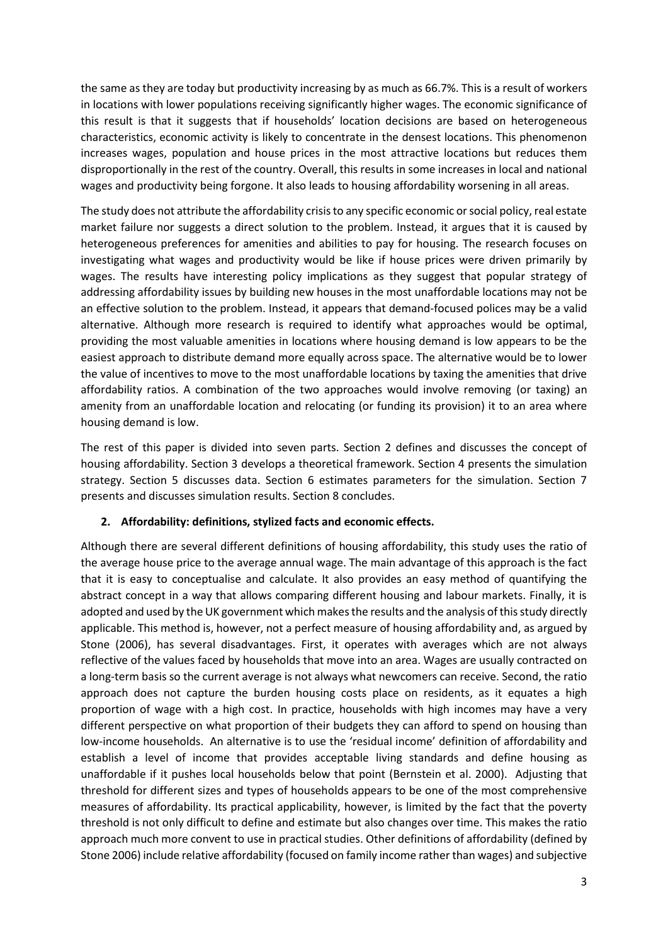the same as they are today but productivity increasing by as much as 66.7%. This is a result of workers in locations with lower populations receiving significantly higher wages. The economic significance of this result is that it suggests that if households' location decisions are based on heterogeneous characteristics, economic activity is likely to concentrate in the densest locations. This phenomenon increases wages, population and house prices in the most attractive locations but reduces them disproportionally in the rest of the country. Overall, this results in some increases in local and national wages and productivity being forgone. It also leads to housing affordability worsening in all areas.

The study does not attribute the affordability crisis to any specific economic or social policy, real estate market failure nor suggests a direct solution to the problem. Instead, it argues that it is caused by heterogeneous preferences for amenities and abilities to pay for housing. The research focuses on investigating what wages and productivity would be like if house prices were driven primarily by wages. The results have interesting policy implications as they suggest that popular strategy of addressing affordability issues by building new houses in the most unaffordable locations may not be an effective solution to the problem. Instead, it appears that demand-focused polices may be a valid alternative. Although more research is required to identify what approaches would be optimal, providing the most valuable amenities in locations where housing demand is low appears to be the easiest approach to distribute demand more equally across space. The alternative would be to lower the value of incentives to move to the most unaffordable locations by taxing the amenities that drive affordability ratios. A combination of the two approaches would involve removing (or taxing) an amenity from an unaffordable location and relocating (or funding its provision) it to an area where housing demand is low.

The rest of this paper is divided into seven parts. Section 2 defines and discusses the concept of housing affordability. Section 3 develops a theoretical framework. Section 4 presents the simulation strategy. Section 5 discusses data. Section 6 estimates parameters for the simulation. Section 7 presents and discusses simulation results. Section 8 concludes.

### **2. Affordability: definitions, stylized facts and economic effects.**

Although there are several different definitions of housing affordability, this study uses the ratio of the average house price to the average annual wage. The main advantage of this approach is the fact that it is easy to conceptualise and calculate. It also provides an easy method of quantifying the abstract concept in a way that allows comparing different housing and labour markets. Finally, it is adopted and used by the UK government which makes the results and the analysis of this study directly applicable. This method is, however, not a perfect measure of housing affordability and, as argued by Stone (2006), has several disadvantages. First, it operates with averages which are not always reflective of the values faced by households that move into an area. Wages are usually contracted on a long-term basis so the current average is not always what newcomers can receive. Second, the ratio approach does not capture the burden housing costs place on residents, as it equates a high proportion of wage with a high cost. In practice, households with high incomes may have a very different perspective on what proportion of their budgets they can afford to spend on housing than low-income households. An alternative is to use the 'residual income' definition of affordability and establish a level of income that provides acceptable living standards and define housing as unaffordable if it pushes local households below that point (Bernstein et al. 2000). Adjusting that threshold for different sizes and types of households appears to be one of the most comprehensive measures of affordability. Its practical applicability, however, is limited by the fact that the poverty threshold is not only difficult to define and estimate but also changes over time. This makes the ratio approach much more convent to use in practical studies. Other definitions of affordability (defined by Stone 2006) include relative affordability (focused on family income rather than wages) and subjective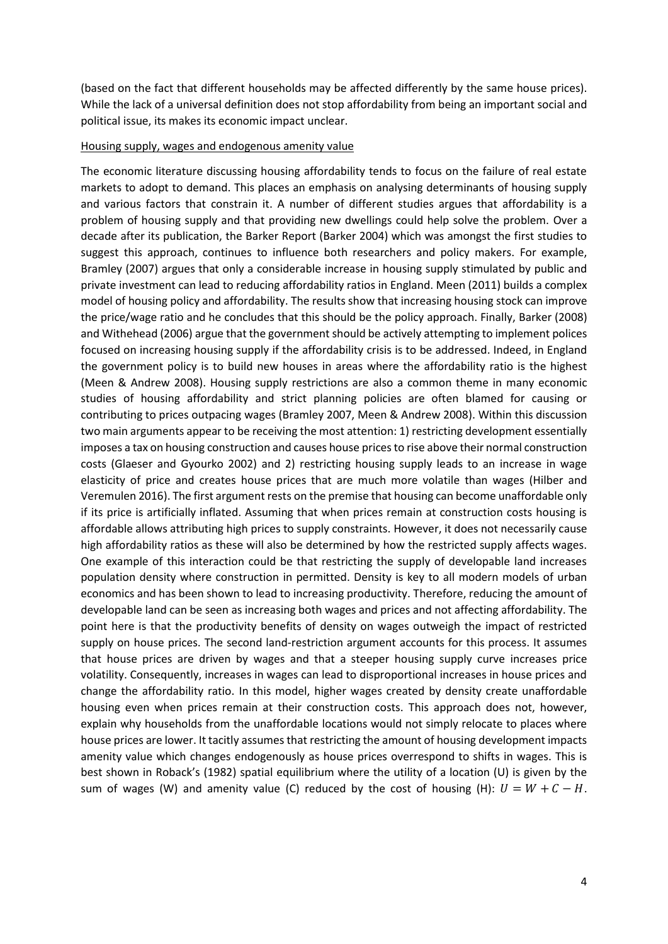(based on the fact that different households may be affected differently by the same house prices). While the lack of a universal definition does not stop affordability from being an important social and political issue, its makes its economic impact unclear.

#### Housing supply, wages and endogenous amenity value

The economic literature discussing housing affordability tends to focus on the failure of real estate markets to adopt to demand. This places an emphasis on analysing determinants of housing supply and various factors that constrain it. A number of different studies argues that affordability is a problem of housing supply and that providing new dwellings could help solve the problem. Over a decade after its publication, the Barker Report (Barker 2004) which was amongst the first studies to suggest this approach, continues to influence both researchers and policy makers. For example, Bramley (2007) argues that only a considerable increase in housing supply stimulated by public and private investment can lead to reducing affordability ratios in England. Meen (2011) builds a complex model of housing policy and affordability. The results show that increasing housing stock can improve the price/wage ratio and he concludes that this should be the policy approach. Finally, Barker (2008) and Withehead (2006) argue that the government should be actively attempting to implement polices focused on increasing housing supply if the affordability crisis is to be addressed. Indeed, in England the government policy is to build new houses in areas where the affordability ratio is the highest (Meen & Andrew 2008). Housing supply restrictions are also a common theme in many economic studies of housing affordability and strict planning policies are often blamed for causing or contributing to prices outpacing wages (Bramley 2007, Meen & Andrew 2008). Within this discussion two main arguments appear to be receiving the most attention: 1) restricting development essentially imposes a tax on housing construction and causes house prices to rise above their normal construction costs (Glaeser and Gyourko 2002) and 2) restricting housing supply leads to an increase in wage elasticity of price and creates house prices that are much more volatile than wages (Hilber and Veremulen 2016). The first argument rests on the premise that housing can become unaffordable only if its price is artificially inflated. Assuming that when prices remain at construction costs housing is affordable allows attributing high prices to supply constraints. However, it does not necessarily cause high affordability ratios as these will also be determined by how the restricted supply affects wages. One example of this interaction could be that restricting the supply of developable land increases population density where construction in permitted. Density is key to all modern models of urban economics and has been shown to lead to increasing productivity. Therefore, reducing the amount of developable land can be seen as increasing both wages and prices and not affecting affordability. The point here is that the productivity benefits of density on wages outweigh the impact of restricted supply on house prices. The second land-restriction argument accounts for this process. It assumes that house prices are driven by wages and that a steeper housing supply curve increases price volatility. Consequently, increases in wages can lead to disproportional increases in house prices and change the affordability ratio. In this model, higher wages created by density create unaffordable housing even when prices remain at their construction costs. This approach does not, however, explain why households from the unaffordable locations would not simply relocate to places where house prices are lower. It tacitly assumes that restricting the amount of housing development impacts amenity value which changes endogenously as house prices overrespond to shifts in wages. This is best shown in Roback's (1982) spatial equilibrium where the utility of a location (U) is given by the sum of wages (W) and amenity value (C) reduced by the cost of housing (H):  $U = W + C - H$ .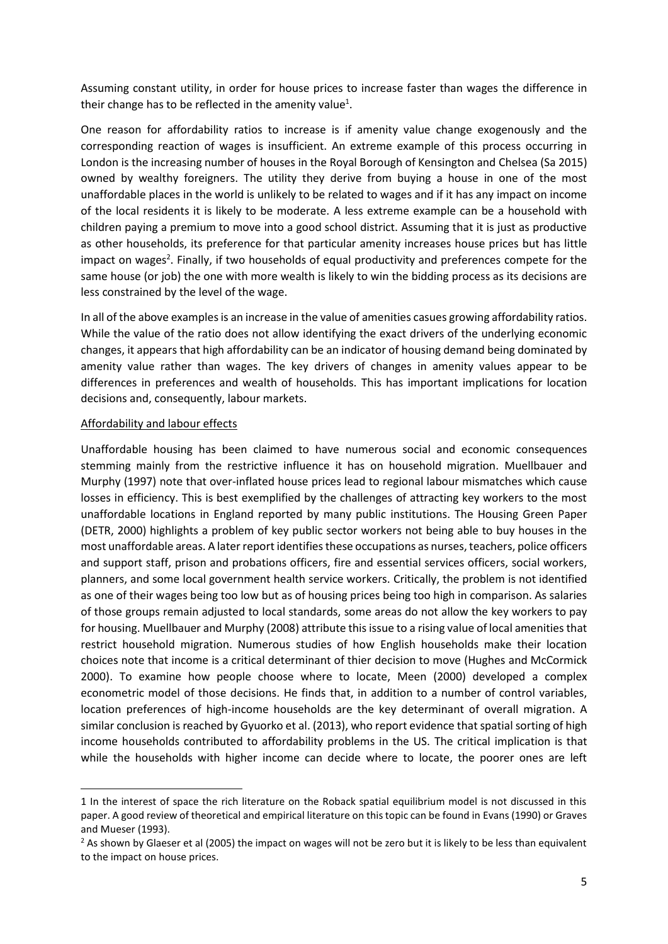Assuming constant utility, in order for house prices to increase faster than wages the difference in their change has to be reflected in the amenity value<sup>1</sup>.

One reason for affordability ratios to increase is if amenity value change exogenously and the corresponding reaction of wages is insufficient. An extreme example of this process occurring in London is the increasing number of houses in the Royal Borough of Kensington and Chelsea (Sa 2015) owned by wealthy foreigners. The utility they derive from buying a house in one of the most unaffordable places in the world is unlikely to be related to wages and if it has any impact on income of the local residents it is likely to be moderate. A less extreme example can be a household with children paying a premium to move into a good school district. Assuming that it is just as productive as other households, its preference for that particular amenity increases house prices but has little impact on wages<sup>2</sup>. Finally, if two households of equal productivity and preferences compete for the same house (or job) the one with more wealth is likely to win the bidding process as its decisions are less constrained by the level of the wage.

In all of the above examples is an increase in the value of amenities casues growing affordability ratios. While the value of the ratio does not allow identifying the exact drivers of the underlying economic changes, it appears that high affordability can be an indicator of housing demand being dominated by amenity value rather than wages. The key drivers of changes in amenity values appear to be differences in preferences and wealth of households. This has important implications for location decisions and, consequently, labour markets.

### Affordability and labour effects

 $\overline{\phantom{a}}$ 

Unaffordable housing has been claimed to have numerous social and economic consequences stemming mainly from the restrictive influence it has on household migration. Muellbauer and Murphy (1997) note that over-inflated house prices lead to regional labour mismatches which cause losses in efficiency. This is best exemplified by the challenges of attracting key workers to the most unaffordable locations in England reported by many public institutions. The Housing Green Paper (DETR, 2000) highlights a problem of key public sector workers not being able to buy houses in the most unaffordable areas. A later report identifiesthese occupations as nurses, teachers, police officers and support staff, prison and probations officers, fire and essential services officers, social workers, planners, and some local government health service workers. Critically, the problem is not identified as one of their wages being too low but as of housing prices being too high in comparison. As salaries of those groups remain adjusted to local standards, some areas do not allow the key workers to pay for housing. Muellbauer and Murphy (2008) attribute this issue to a rising value of local amenities that restrict household migration. Numerous studies of how English households make their location choices note that income is a critical determinant of thier decision to move (Hughes and McCormick 2000). To examine how people choose where to locate, Meen (2000) developed a complex econometric model of those decisions. He finds that, in addition to a number of control variables, location preferences of high-income households are the key determinant of overall migration. A similar conclusion is reached by Gyuorko et al. (2013), who report evidence that spatial sorting of high income households contributed to affordability problems in the US. The critical implication is that while the households with higher income can decide where to locate, the poorer ones are left

<sup>1</sup> In the interest of space the rich literature on the Roback spatial equilibrium model is not discussed in this paper. A good review of theoretical and empirical literature on this topic can be found in Evans (1990) or Graves and Mueser (1993).

<sup>&</sup>lt;sup>2</sup> As shown by Glaeser et al (2005) the impact on wages will not be zero but it is likely to be less than equivalent to the impact on house prices.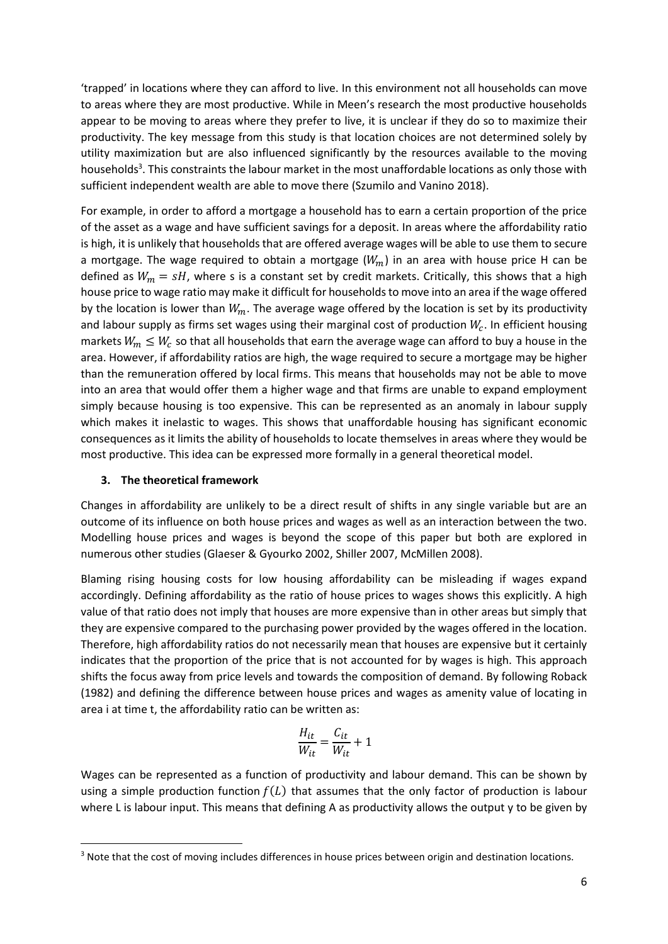'trapped' in locations where they can afford to live. In this environment not all households can move to areas where they are most productive. While in Meen's research the most productive households appear to be moving to areas where they prefer to live, it is unclear if they do so to maximize their productivity. The key message from this study is that location choices are not determined solely by utility maximization but are also influenced significantly by the resources available to the moving households<sup>3</sup>. This constraints the labour market in the most unaffordable locations as only those with sufficient independent wealth are able to move there (Szumilo and Vanino 2018).

For example, in order to afford a mortgage a household has to earn a certain proportion of the price of the asset as a wage and have sufficient savings for a deposit. In areas where the affordability ratio is high, it is unlikely that households that are offered average wages will be able to use them to secure a mortgage. The wage required to obtain a mortgage  $(W_m)$  in an area with house price H can be defined as  $W_m = sH$ , where s is a constant set by credit markets. Critically, this shows that a high house price to wage ratio may make it difficult for households to move into an area if the wage offered by the location is lower than  $W_m$ . The average wage offered by the location is set by its productivity and labour supply as firms set wages using their marginal cost of production  $W_c$ . In efficient housing markets  $W_m \leq W_c$  so that all households that earn the average wage can afford to buy a house in the area. However, if affordability ratios are high, the wage required to secure a mortgage may be higher than the remuneration offered by local firms. This means that households may not be able to move into an area that would offer them a higher wage and that firms are unable to expand employment simply because housing is too expensive. This can be represented as an anomaly in labour supply which makes it inelastic to wages. This shows that unaffordable housing has significant economic consequences as it limits the ability of households to locate themselves in areas where they would be most productive. This idea can be expressed more formally in a general theoretical model.

### **3. The theoretical framework**

**.** 

Changes in affordability are unlikely to be a direct result of shifts in any single variable but are an outcome of its influence on both house prices and wages as well as an interaction between the two. Modelling house prices and wages is beyond the scope of this paper but both are explored in numerous other studies (Glaeser & Gyourko 2002, Shiller 2007, McMillen 2008).

Blaming rising housing costs for low housing affordability can be misleading if wages expand accordingly. Defining affordability as the ratio of house prices to wages shows this explicitly. A high value of that ratio does not imply that houses are more expensive than in other areas but simply that they are expensive compared to the purchasing power provided by the wages offered in the location. Therefore, high affordability ratios do not necessarily mean that houses are expensive but it certainly indicates that the proportion of the price that is not accounted for by wages is high. This approach shifts the focus away from price levels and towards the composition of demand. By following Roback (1982) and defining the difference between house prices and wages as amenity value of locating in area i at time t, the affordability ratio can be written as:

$$
\frac{H_{it}}{W_{it}} = \frac{C_{it}}{W_{it}} + 1
$$

Wages can be represented as a function of productivity and labour demand. This can be shown by using a simple production function  $f(L)$  that assumes that the only factor of production is labour where L is labour input. This means that defining A as productivity allows the output y to be given by

<sup>&</sup>lt;sup>3</sup> Note that the cost of moving includes differences in house prices between origin and destination locations.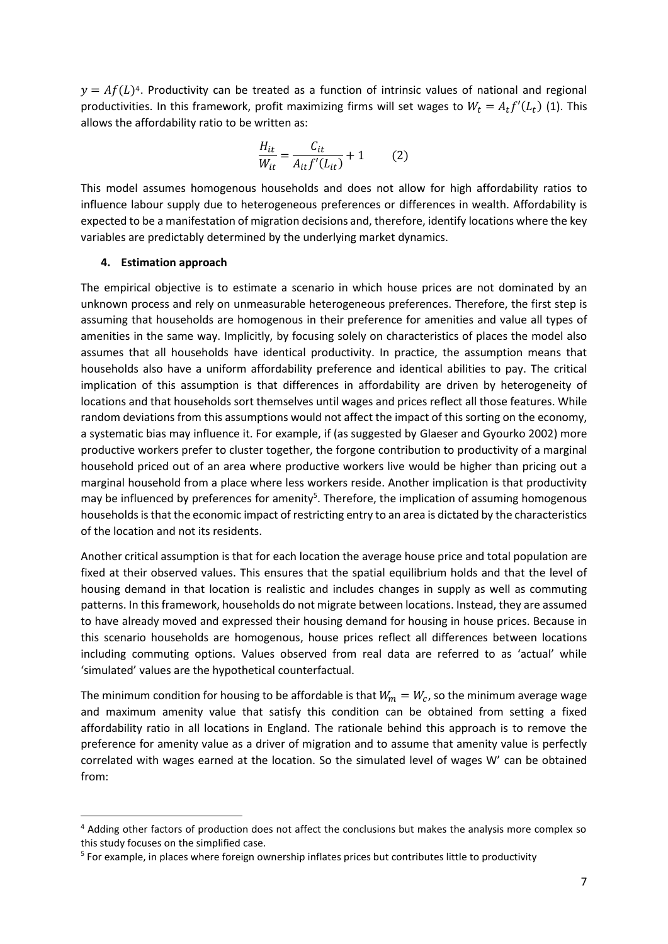$y = Af(L)<sup>4</sup>$ . Productivity can be treated as a function of intrinsic values of national and regional productivities. In this framework, profit maximizing firms will set wages to  $W_t = A_t f'(L_t)$  (1). This allows the affordability ratio to be written as:

$$
\frac{H_{it}}{W_{it}} = \frac{C_{it}}{A_{it}f'(L_{it})} + 1
$$
 (2)

This model assumes homogenous households and does not allow for high affordability ratios to influence labour supply due to heterogeneous preferences or differences in wealth. Affordability is expected to be a manifestation of migration decisions and, therefore, identify locations where the key variables are predictably determined by the underlying market dynamics.

#### **4. Estimation approach**

**.** 

The empirical objective is to estimate a scenario in which house prices are not dominated by an unknown process and rely on unmeasurable heterogeneous preferences. Therefore, the first step is assuming that households are homogenous in their preference for amenities and value all types of amenities in the same way. Implicitly, by focusing solely on characteristics of places the model also assumes that all households have identical productivity. In practice, the assumption means that households also have a uniform affordability preference and identical abilities to pay. The critical implication of this assumption is that differences in affordability are driven by heterogeneity of locations and that households sort themselves until wages and prices reflect all those features. While random deviations from this assumptions would not affect the impact of this sorting on the economy, a systematic bias may influence it. For example, if (as suggested by Glaeser and Gyourko 2002) more productive workers prefer to cluster together, the forgone contribution to productivity of a marginal household priced out of an area where productive workers live would be higher than pricing out a marginal household from a place where less workers reside. Another implication is that productivity may be influenced by preferences for amenity<sup>5</sup>. Therefore, the implication of assuming homogenous households is that the economic impact of restricting entry to an area is dictated by the characteristics of the location and not its residents.

Another critical assumption is that for each location the average house price and total population are fixed at their observed values. This ensures that the spatial equilibrium holds and that the level of housing demand in that location is realistic and includes changes in supply as well as commuting patterns. In this framework, households do not migrate between locations. Instead, they are assumed to have already moved and expressed their housing demand for housing in house prices. Because in this scenario households are homogenous, house prices reflect all differences between locations including commuting options. Values observed from real data are referred to as 'actual' while 'simulated' values are the hypothetical counterfactual.

The minimum condition for housing to be affordable is that  $W_m = W_c$ , so the minimum average wage and maximum amenity value that satisfy this condition can be obtained from setting a fixed affordability ratio in all locations in England. The rationale behind this approach is to remove the preference for amenity value as a driver of migration and to assume that amenity value is perfectly correlated with wages earned at the location. So the simulated level of wages W' can be obtained from:

<sup>&</sup>lt;sup>4</sup> Adding other factors of production does not affect the conclusions but makes the analysis more complex so this study focuses on the simplified case.

<sup>&</sup>lt;sup>5</sup> For example, in places where foreign ownership inflates prices but contributes little to productivity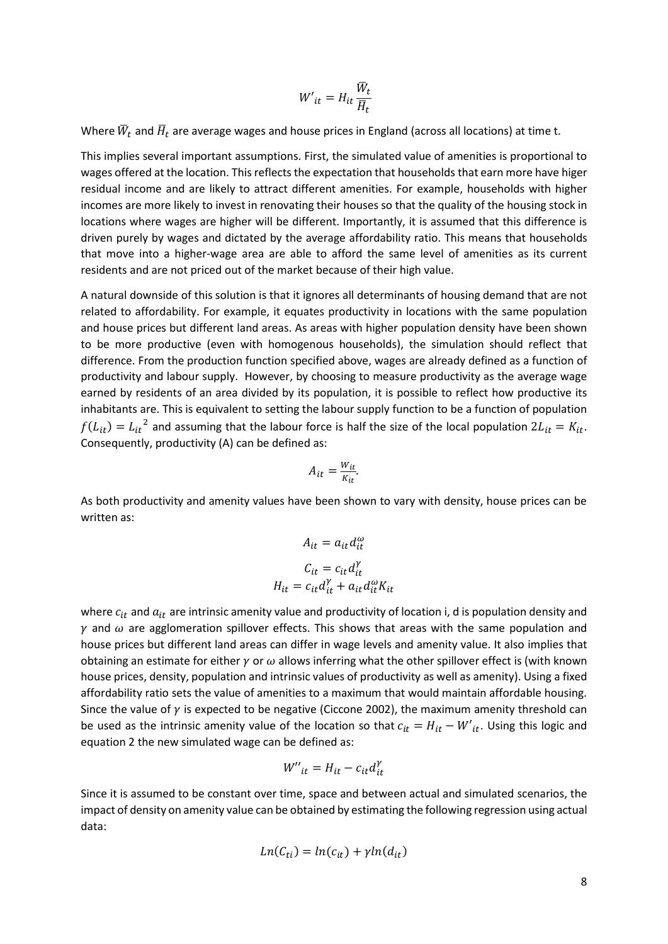$$
W'_{it} = H_{it} \frac{\overline{W}_t}{\overline{H}_t}
$$

Where  $\bar{W}_t$  and  $\bar{H}_t$  are average wages and house prices in England (across all locations) at time t.

This implies several important assumptions. First, the simulated value of amenities is proportional to wages offered at the location. This reflects the expectation that households that earn more have higer residual income and are likely to attract different amenities. For example, households with higher incomes are more likely to invest in renovating their houses so that the quality of the housing stock in locations where wages are higher will be different. Importantly, it is assumed that this difference is driven purely by wages and dictated by the average affordability ratio. This means that households that move into a higher-wage area are able to afford the same level of amenities as its current residents and are not priced out of the market because of their high value.

A natural downside of this solution is that it ignores all determinants of housing demand that are not related to affordability. For example, it equates productivity in locations with the same population and house prices but different land areas. As areas with higher population density have been shown to be more productive (even with homogenous households), the simulation should reflect that difference. From the production function specified above, wages are already defined as a function of productivity and labour supply. However, by choosing to measure productivity as the average wage earned by residents of an area divided by its population, it is possible to reflect how productive its inhabitants are. This is equivalent to setting the labour supply function to be a function of population  $f(L_{it}) = L_{it}^2$  and assuming that the labour force is half the size of the local population  $2L_{it} = K_{it}$ . Consequently, productivity (A) can be defined as:

$$
A_{it} = \frac{W_{it}}{K_{it}}.
$$

As both productivity and amenity values have been shown to vary with density, house prices can be written as:

$$
A_{it} = a_{it} d_{it}^{\omega}
$$

$$
C_{it} = c_{it} d_{it}^{\gamma}
$$

$$
H_{it} = c_{it} d_{it}^{\gamma} + a_{it} d_{it}^{\omega} K_{it}
$$

where  $c_{it}$  and  $a_{it}$  are intrinsic amenity value and productivity of location i, d is population density and  $\gamma$  and  $\omega$  are agglomeration spillover effects. This shows that areas with the same population and house prices but different land areas can differ in wage levels and amenity value. It also implies that obtaining an estimate for either  $\gamma$  or  $\omega$  allows inferring what the other spillover effect is (with known house prices, density, population and intrinsic values of productivity as well as amenity). Using a fixed affordability ratio sets the value of amenities to a maximum that would maintain affordable housing. Since the value of  $\gamma$  is expected to be negative (Ciccone 2002), the maximum amenity threshold can be used as the intrinsic amenity value of the location so that  $c_{it} = H_{it} - W'_{it}$ . Using this logic and equation 2 the new simulated wage can be defined as:

$$
W''_{it} = H_{it} - c_{it} d_{it}^{\gamma}
$$

Since it is assumed to be constant over time, space and between actual and simulated scenarios, the impact of density on amenity value can be obtained by estimating the following regression using actual data:

$$
Ln(C_{ti}) = ln(c_{it}) + \gamma ln(d_{it})
$$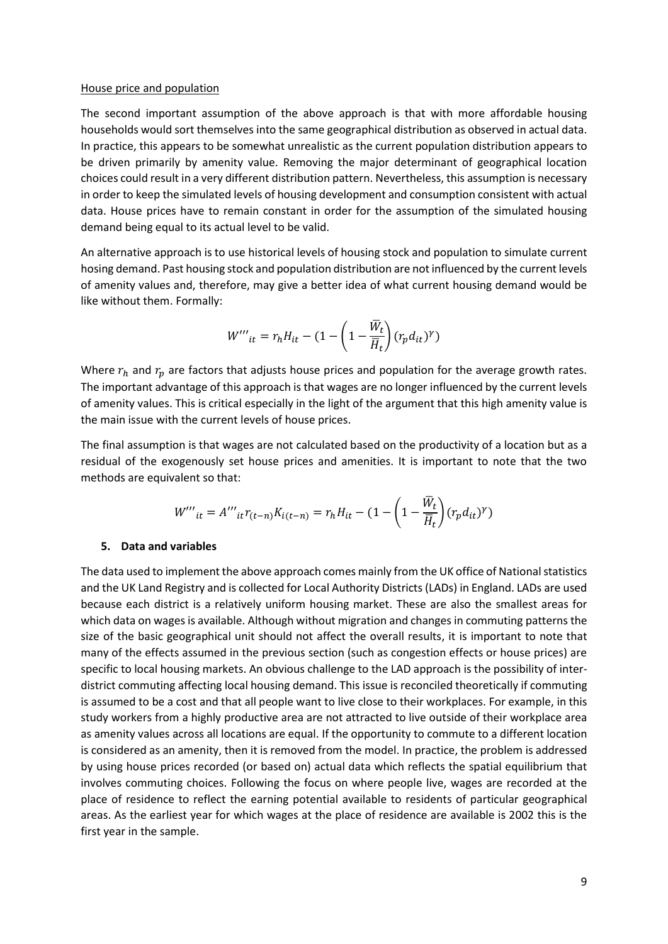#### House price and population

The second important assumption of the above approach is that with more affordable housing households would sort themselves into the same geographical distribution as observed in actual data. In practice, this appears to be somewhat unrealistic as the current population distribution appears to be driven primarily by amenity value. Removing the major determinant of geographical location choices could result in a very different distribution pattern. Nevertheless, this assumption is necessary in order to keep the simulated levels of housing development and consumption consistent with actual data. House prices have to remain constant in order for the assumption of the simulated housing demand being equal to its actual level to be valid.

An alternative approach is to use historical levels of housing stock and population to simulate current hosing demand. Past housing stock and population distribution are not influenced by the current levels of amenity values and, therefore, may give a better idea of what current housing demand would be like without them. Formally:

$$
{W^{\prime\prime}}^{\prime\prime}_{it}=r_hH_{it}-(1-\left(1-\frac{\bar{W}_t}{\overline{H}_t}\right)(r_pd_{it})^{\gamma})
$$

Where  $r_h$  and  $r_p$  are factors that adjusts house prices and population for the average growth rates. The important advantage of this approach is that wages are no longer influenced by the current levels of amenity values. This is critical especially in the light of the argument that this high amenity value is the main issue with the current levels of house prices.

The final assumption is that wages are not calculated based on the productivity of a location but as a residual of the exogenously set house prices and amenities. It is important to note that the two methods are equivalent so that:

$$
W'''_{it} = A'''_{it} r_{(t-n)} K_{i(t-n)} = r_h H_{it} - (1 - \left(1 - \frac{\overline{W}_t}{\overline{H}_t}\right) (r_p d_{it})^{\gamma})
$$

#### **5. Data and variables**

The data used to implement the above approach comes mainly from the UK office of National statistics and the UK Land Registry and is collected for Local Authority Districts (LADs) in England. LADs are used because each district is a relatively uniform housing market. These are also the smallest areas for which data on wages is available. Although without migration and changes in commuting patterns the size of the basic geographical unit should not affect the overall results, it is important to note that many of the effects assumed in the previous section (such as congestion effects or house prices) are specific to local housing markets. An obvious challenge to the LAD approach is the possibility of interdistrict commuting affecting local housing demand. This issue is reconciled theoretically if commuting is assumed to be a cost and that all people want to live close to their workplaces. For example, in this study workers from a highly productive area are not attracted to live outside of their workplace area as amenity values across all locations are equal. If the opportunity to commute to a different location is considered as an amenity, then it is removed from the model. In practice, the problem is addressed by using house prices recorded (or based on) actual data which reflects the spatial equilibrium that involves commuting choices. Following the focus on where people live, wages are recorded at the place of residence to reflect the earning potential available to residents of particular geographical areas. As the earliest year for which wages at the place of residence are available is 2002 this is the first year in the sample.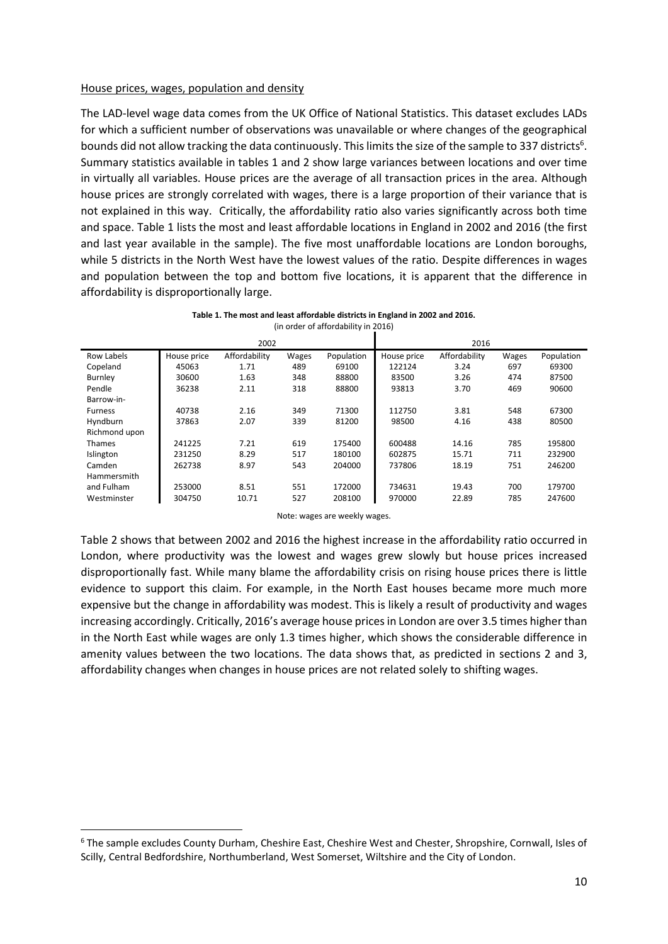#### House prices, wages, population and density

The LAD-level wage data comes from the UK Office of National Statistics. This dataset excludes LADs for which a sufficient number of observations was unavailable or where changes of the geographical bounds did not allow tracking the data continuously. This limits the size of the sample to 337 districts<sup>6</sup>. Summary statistics available in tables 1 and 2 show large variances between locations and over time in virtually all variables. House prices are the average of all transaction prices in the area. Although house prices are strongly correlated with wages, there is a large proportion of their variance that is not explained in this way. Critically, the affordability ratio also varies significantly across both time and space. Table 1 lists the most and least affordable locations in England in 2002 and 2016 (the first and last year available in the sample). The five most unaffordable locations are London boroughs, while 5 districts in the North West have the lowest values of the ratio. Despite differences in wages and population between the top and bottom five locations, it is apparent that the difference in affordability is disproportionally large.

| Table 1. The most and least affordable districts in England in 2002 and 2016. |  |
|-------------------------------------------------------------------------------|--|
| (in order of affordability in 2016)                                           |  |

|                | 2002        |               |       |            |             | 2016          |       |            |
|----------------|-------------|---------------|-------|------------|-------------|---------------|-------|------------|
| Row Labels     | House price | Affordability | Wages | Population | House price | Affordability | Wages | Population |
| Copeland       | 45063       | 1.71          | 489   | 69100      | 122124      | 3.24          | 697   | 69300      |
| Burnley        | 30600       | 1.63          | 348   | 88800      | 83500       | 3.26          | 474   | 87500      |
| Pendle         | 36238       | 2.11          | 318   | 88800      | 93813       | 3.70          | 469   | 90600      |
| Barrow-in-     |             |               |       |            |             |               |       |            |
| <b>Furness</b> | 40738       | 2.16          | 349   | 71300      | 112750      | 3.81          | 548   | 67300      |
| Hyndburn       | 37863       | 2.07          | 339   | 81200      | 98500       | 4.16          | 438   | 80500      |
| Richmond upon  |             |               |       |            |             |               |       |            |
| <b>Thames</b>  | 241225      | 7.21          | 619   | 175400     | 600488      | 14.16         | 785   | 195800     |
| Islington      | 231250      | 8.29          | 517   | 180100     | 602875      | 15.71         | 711   | 232900     |
| Camden         | 262738      | 8.97          | 543   | 204000     | 737806      | 18.19         | 751   | 246200     |
| Hammersmith    |             |               |       |            |             |               |       |            |
| and Fulham     | 253000      | 8.51          | 551   | 172000     | 734631      | 19.43         | 700   | 179700     |
| Westminster    | 304750      | 10.71         | 527   | 208100     | 970000      | 22.89         | 785   | 247600     |

Note: wages are weekly wages.

Table 2 shows that between 2002 and 2016 the highest increase in the affordability ratio occurred in London, where productivity was the lowest and wages grew slowly but house prices increased disproportionally fast. While many blame the affordability crisis on rising house prices there is little evidence to support this claim. For example, in the North East houses became more much more expensive but the change in affordability was modest. This is likely a result of productivity and wages increasing accordingly. Critically, 2016's average house prices in London are over 3.5 times higher than in the North East while wages are only 1.3 times higher, which shows the considerable difference in amenity values between the two locations. The data shows that, as predicted in sections 2 and 3, affordability changes when changes in house prices are not related solely to shifting wages.

1

<sup>6</sup> The sample excludes County Durham, Cheshire East, Cheshire West and Chester, Shropshire, Cornwall, Isles of Scilly, Central Bedfordshire, Northumberland, West Somerset, Wiltshire and the City of London.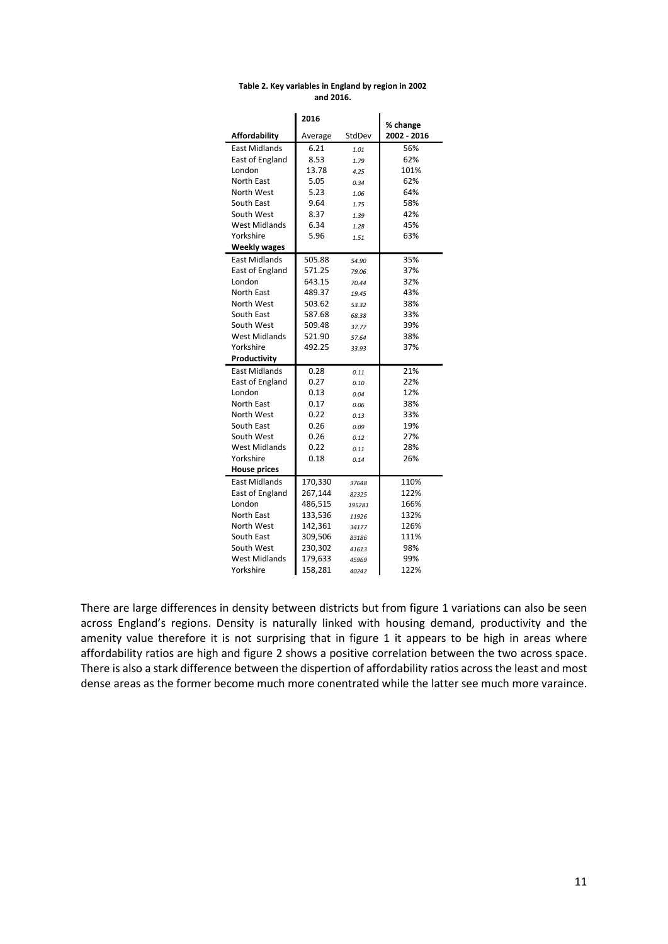|                      | 2016    |        | % change    |
|----------------------|---------|--------|-------------|
| <b>Affordability</b> | Average | StdDev | 2002 - 2016 |
| <b>East Midlands</b> | 6.21    | 1.01   | 56%         |
| East of England      | 8.53    | 1.79   | 62%         |
| London               | 13.78   | 4.25   | 101%        |
| North East           | 5.05    | 0.34   | 62%         |
| North West           | 5.23    | 1.06   | 64%         |
| South East           | 9.64    | 1.75   | 58%         |
| South West           | 8.37    | 1.39   | 42%         |
| <b>West Midlands</b> | 6.34    | 1.28   | 45%         |
| Yorkshire            | 5.96    | 1.51   | 63%         |
| <b>Weekly wages</b>  |         |        |             |
| <b>East Midlands</b> | 505.88  | 54.90  | 35%         |
| East of England      | 571.25  | 79.06  | 37%         |
| London               | 643.15  | 70.44  | 32%         |
| North East           | 489.37  | 19.45  | 43%         |
| North West           | 503.62  | 53.32  | 38%         |
| South East           | 587.68  | 68.38  | 33%         |
| South West           | 509.48  | 37.77  | 39%         |
| <b>West Midlands</b> | 521.90  | 57.64  | 38%         |
| Yorkshire            | 492.25  | 33.93  | 37%         |
| Productivity         |         |        |             |
| <b>East Midlands</b> | 0.28    | 0.11   | 21%         |
| East of England      | 0.27    | 0.10   | 22%         |
| London               | 0.13    | 0.04   | 12%         |
| <b>North East</b>    | 0.17    | 0.06   | 38%         |
| North West           | 0.22    | 0.13   | 33%         |
| South East           | 0.26    | 0.09   | 19%         |
| South West           | 0.26    | 0.12   | 27%         |
| <b>West Midlands</b> | 0.22    | 0.11   | 28%         |
| Yorkshire            | 0.18    | 0.14   | 26%         |
| <b>House prices</b>  |         |        |             |
| <b>East Midlands</b> | 170,330 | 37648  | 110%        |
| East of England      | 267,144 | 82325  | 122%        |
| London               | 486,515 | 195281 | 166%        |
| North East           | 133,536 | 11926  | 132%        |
| North West           | 142,361 | 34177  | 126%        |
| South East           | 309,506 | 83186  | 111%        |
| South West           | 230,302 | 41613  | 98%         |
| <b>West Midlands</b> | 179,633 | 45969  | 99%         |
| Yorkshire            | 158,281 | 40242  | 122%        |

#### **Table 2. Key variables in England by region in 2002 and 2016.**

There are large differences in density between districts but from figure 1 variations can also be seen across England's regions. Density is naturally linked with housing demand, productivity and the amenity value therefore it is not surprising that in figure 1 it appears to be high in areas where affordability ratios are high and figure 2 shows a positive correlation between the two across space. There is also a stark difference between the dispertion of affordability ratios across the least and most dense areas as the former become much more conentrated while the latter see much more varaince.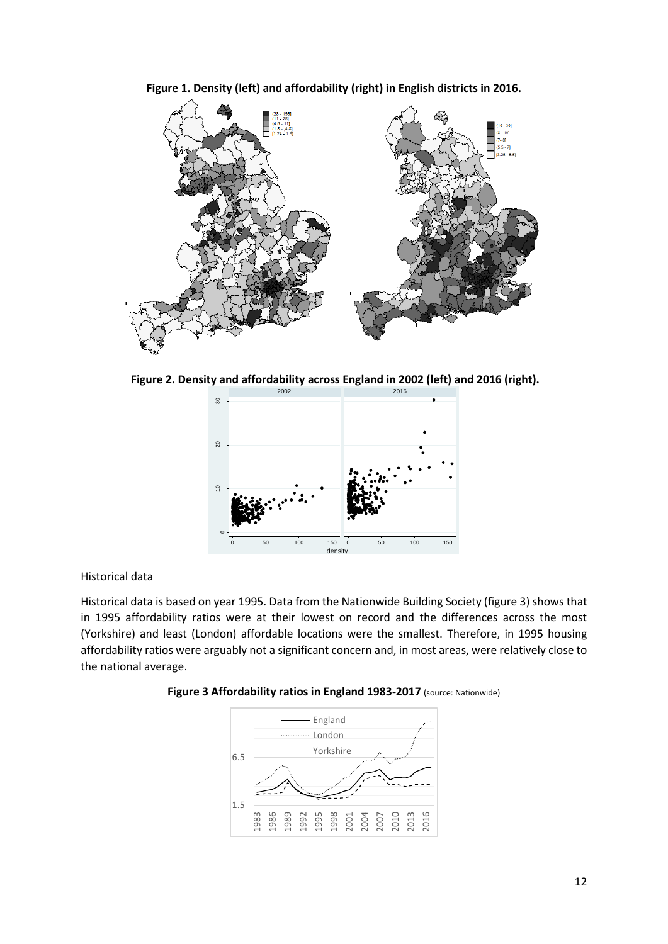

**Figure 1. Density (left) and affordability (right) in English districts in 2016.**

**Figure 2. Density and affordability across England in 2002 (left) and 2016 (right).**



# Historical data

Historical data is based on year 1995. Data from the Nationwide Building Society (figure 3) shows that in 1995 affordability ratios were at their lowest on record and the differences across the most (Yorkshire) and least (London) affordable locations were the smallest. Therefore, in 1995 housing affordability ratios were arguably not a significant concern and, in most areas, were relatively close to the national average.



**Figure 3 Affordability ratios in England 1983-2017** (source: Nationwide)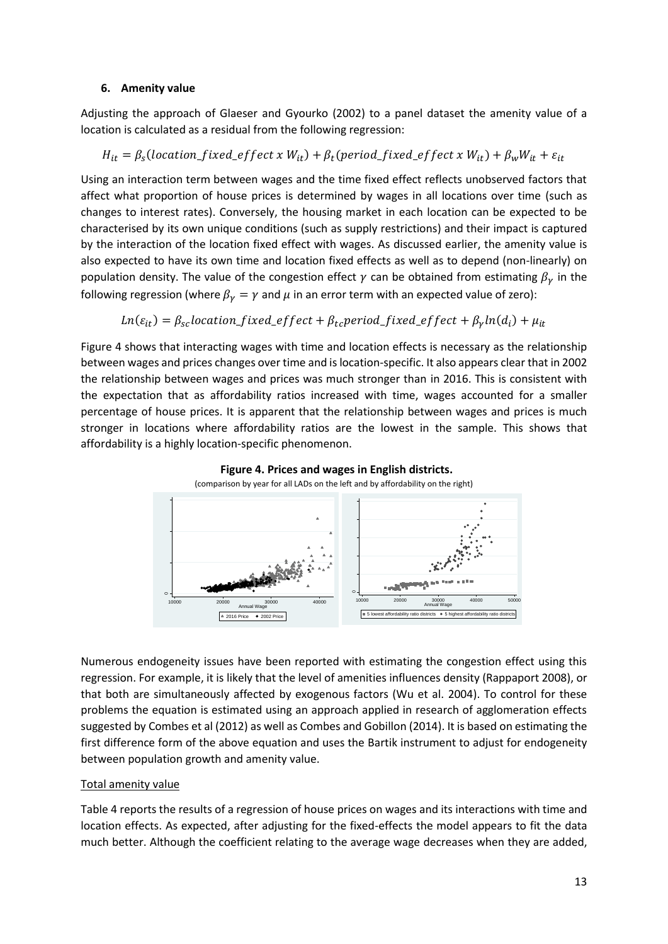### **6. Amenity value**

Adjusting the approach of Glaeser and Gyourko (2002) to a panel dataset the amenity value of a location is calculated as a residual from the following regression:

# $H_{it} = \beta_s (location\_fixed\_effect \ x \ W_{it}) + \beta_t (period\_fixed\_effect \ x \ W_{it}) + \beta_w W_{it} + \varepsilon_{it}$

Using an interaction term between wages and the time fixed effect reflects unobserved factors that affect what proportion of house prices is determined by wages in all locations over time (such as changes to interest rates). Conversely, the housing market in each location can be expected to be characterised by its own unique conditions (such as supply restrictions) and their impact is captured by the interaction of the location fixed effect with wages. As discussed earlier, the amenity value is also expected to have its own time and location fixed effects as well as to depend (non-linearly) on population density. The value of the congestion effect  $\gamma$  can be obtained from estimating  $\beta_{\gamma}$  in the following regression (where  $\beta_{\gamma} = \gamma$  and  $\mu$  in an error term with an expected value of zero):

# $Ln(\varepsilon_{it}) = \beta_{sc}location\_fixed\_effect + \beta_{tc} period\_fixed\_effect + \beta_{\gamma} ln(d_i) + \mu_{it}$

Figure 4 shows that interacting wages with time and location effects is necessary as the relationship between wages and prices changes over time and is location-specific. It also appears clear that in 2002 the relationship between wages and prices was much stronger than in 2016. This is consistent with the expectation that as affordability ratios increased with time, wages accounted for a smaller percentage of house prices. It is apparent that the relationship between wages and prices is much stronger in locations where affordability ratios are the lowest in the sample. This shows that affordability is a highly location-specific phenomenon.



Numerous endogeneity issues have been reported with estimating the congestion effect using this regression. For example, it is likely that the level of amenities influences density (Rappaport 2008), or that both are simultaneously affected by exogenous factors (Wu et al. 2004). To control for these problems the equation is estimated using an approach applied in research of agglomeration effects suggested by Combes et al (2012) as well as Combes and Gobillon (2014). It is based on estimating the first difference form of the above equation and uses the Bartik instrument to adjust for endogeneity between population growth and amenity value.

## Total amenity value

Table 4 reports the results of a regression of house prices on wages and its interactions with time and location effects. As expected, after adjusting for the fixed-effects the model appears to fit the data much better. Although the coefficient relating to the average wage decreases when they are added,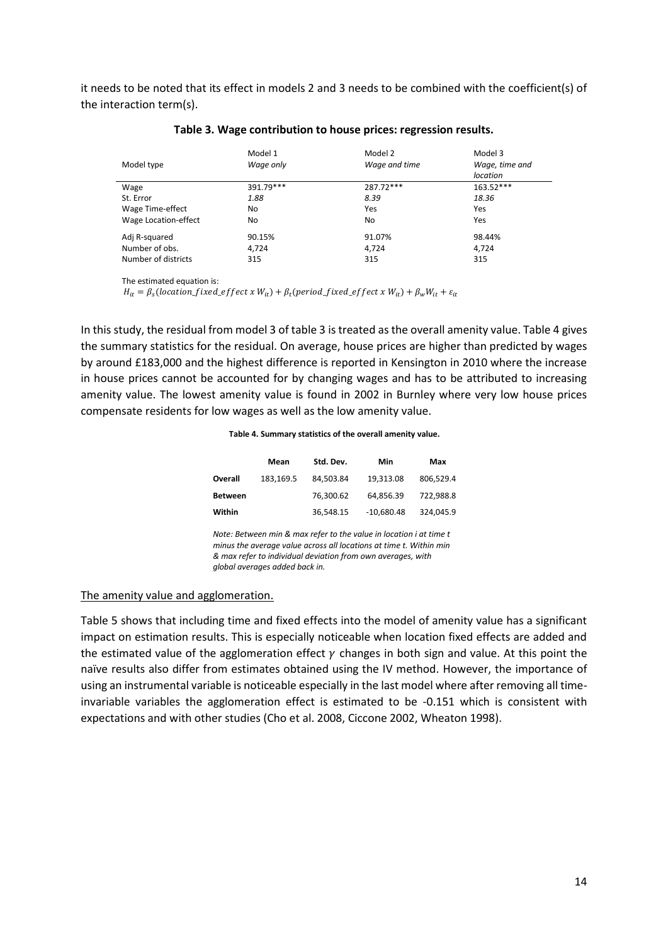it needs to be noted that its effect in models 2 and 3 needs to be combined with the coefficient(s) of the interaction term(s).

| Model type           | Model 1<br>Wage only | Model 2<br>Wage and time | Model 3<br>Wage, time and<br>location |  |  |
|----------------------|----------------------|--------------------------|---------------------------------------|--|--|
| Wage                 | 391.79***            | 287.72***                | $163.52***$                           |  |  |
| St. Error            | 1.88                 | 8.39                     | 18.36                                 |  |  |
| Wage Time-effect     | No                   | Yes                      | Yes                                   |  |  |
| Wage Location-effect | No                   | No                       | Yes                                   |  |  |
| Adj R-squared        | 90.15%               | 91.07%                   | 98.44%                                |  |  |
| Number of obs.       | 4.724                | 4,724                    | 4.724                                 |  |  |
| Number of districts  | 315                  | 315                      | 315                                   |  |  |

#### **Table 3. Wage contribution to house prices: regression results.**

The estimated equation is:

 $H_{it} = \beta_s (location\_fixed\_effect \ x \ W_{it}) + \beta_t (period\_fixed\_effect \ x \ W_{it}) + \beta_w W_{it} + \varepsilon_{it}$ 

In this study, the residual from model 3 of table 3 is treated as the overall amenity value. Table 4 gives the summary statistics for the residual. On average, house prices are higher than predicted by wages by around £183,000 and the highest difference is reported in Kensington in 2010 where the increase in house prices cannot be accounted for by changing wages and has to be attributed to increasing amenity value. The lowest amenity value is found in 2002 in Burnley where very low house prices compensate residents for low wages as well as the low amenity value.

#### **Table 4. Summary statistics of the overall amenity value.**

|                | Mean      | Std. Dev. | Min          | Max       |
|----------------|-----------|-----------|--------------|-----------|
| Overall        | 183.169.5 | 84.503.84 | 19.313.08    | 806.529.4 |
| <b>Between</b> |           | 76,300.62 | 64.856.39    | 722.988.8 |
| Within         |           | 36,548.15 | $-10,680.48$ | 324.045.9 |

*Note: Between min & max refer to the value in location i at time t minus the average value across all locations at time t. Within min & max refer to individual deviation from own averages, with global averages added back in.* 

#### The amenity value and agglomeration.

Table 5 shows that including time and fixed effects into the model of amenity value has a significant impact on estimation results. This is especially noticeable when location fixed effects are added and the estimated value of the agglomeration effect  $\gamma$  changes in both sign and value. At this point the naïve results also differ from estimates obtained using the IV method. However, the importance of using an instrumental variable is noticeable especially in the last model where after removing all timeinvariable variables the agglomeration effect is estimated to be -0.151 which is consistent with expectations and with other studies (Cho et al. 2008, Ciccone 2002, Wheaton 1998).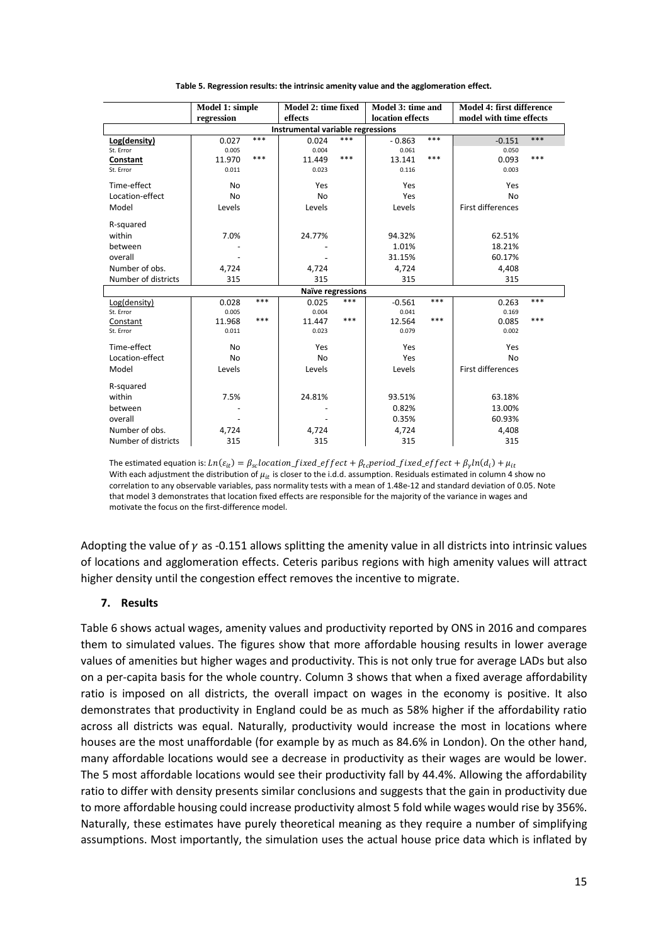|                                   | Model 1: simple       |       | Model 2: time fixed      |                  | Model 3: time and |                         | Model 4: first difference |       |
|-----------------------------------|-----------------------|-------|--------------------------|------------------|-------------------|-------------------------|---------------------------|-------|
|                                   | regression<br>effects |       |                          | location effects |                   | model with time effects |                           |       |
| Instrumental variable regressions |                       |       |                          |                  |                   |                         |                           |       |
| Log(density)                      | 0.027                 | $***$ | 0.024                    | $***$            | $-0.863$          | ***                     | $-0.151$                  | ***   |
| St. Error                         | 0.005                 |       | 0.004                    |                  | 0.061             |                         | 0.050                     |       |
| Constant                          | 11.970                | ***   | 11.449                   | $***$            | 13.141            | ***                     | 0.093                     | ***   |
| St. Error                         | 0.011                 |       | 0.023                    |                  | 0.116             |                         | 0.003                     |       |
| Time-effect                       | <b>No</b>             |       | Yes                      |                  | Yes               |                         | Yes                       |       |
| Location-effect                   | <b>No</b>             |       | No                       |                  | Yes               |                         | <b>No</b>                 |       |
| Model                             | Levels                |       | Levels                   |                  | Levels            |                         | <b>First differences</b>  |       |
| R-squared                         |                       |       |                          |                  |                   |                         |                           |       |
| within                            | 7.0%                  |       | 24.77%                   |                  | 94.32%            |                         | 62.51%                    |       |
| between                           |                       |       |                          |                  | 1.01%             |                         | 18.21%                    |       |
| overall                           |                       |       |                          |                  | 31.15%            |                         | 60.17%                    |       |
| Number of obs.                    | 4,724                 |       | 4,724                    |                  | 4,724             |                         | 4,408                     |       |
| Number of districts               | 315                   |       | 315                      |                  | 315               |                         | 315                       |       |
|                                   |                       |       | <b>Naïve regressions</b> |                  |                   |                         |                           |       |
| Log(density)                      | 0.028                 | ***   | 0.025                    | ***              | $-0.561$          | ***                     | 0.263                     | ***   |
| St. Error                         | 0.005                 |       | 0.004                    |                  | 0.041             |                         | 0.169                     |       |
| Constant                          | 11.968                | $***$ | 11.447                   | $***$            | 12.564            | ***                     | 0.085                     | $***$ |
| St. Error                         | 0.011                 |       | 0.023                    |                  | 0.079             |                         | 0.002                     |       |
| Time-effect                       | <b>No</b>             |       | Yes                      |                  | Yes               |                         | Yes                       |       |
| Location-effect                   | <b>No</b>             |       | No                       |                  | Yes               |                         | <b>No</b>                 |       |
| Model                             | Levels                |       | Levels                   |                  | Levels            |                         | <b>First differences</b>  |       |
| R-squared                         |                       |       |                          |                  |                   |                         |                           |       |
| within                            | 7.5%                  |       | 24.81%                   |                  | 93.51%            |                         | 63.18%                    |       |
| between                           |                       |       |                          |                  | 0.82%             |                         | 13.00%                    |       |
| overall                           |                       |       |                          |                  | 0.35%             |                         | 60.93%                    |       |
| Number of obs.                    | 4,724                 |       | 4,724                    |                  | 4,724             |                         | 4,408                     |       |
| Number of districts               | 315                   |       | 315                      |                  | 315               |                         | 315                       |       |

**Table 5. Regression results: the intrinsic amenity value and the agglomeration effect.**

The estimated equation is:  $Ln(\varepsilon_{it}) = \beta_{sc}location\_fixed\_effect + \beta_{tc} period\_fixed\_effect + \beta_{v} ln(d_i) + \mu_{it}$ With each adjustment the distribution of  $\mu_{it}$  is closer to the i.d.d. assumption. Residuals estimated in column 4 show no correlation to any observable variables, pass normality tests with a mean of 1.48e-12 and standard deviation of 0.05. Note that model 3 demonstrates that location fixed effects are responsible for the majority of the variance in wages and motivate the focus on the first-difference model.

Adopting the value of  $\gamma$  as -0.151 allows splitting the amenity value in all districts into intrinsic values of locations and agglomeration effects. Ceteris paribus regions with high amenity values will attract higher density until the congestion effect removes the incentive to migrate.

#### **7. Results**

Table 6 shows actual wages, amenity values and productivity reported by ONS in 2016 and compares them to simulated values. The figures show that more affordable housing results in lower average values of amenities but higher wages and productivity. This is not only true for average LADs but also on a per-capita basis for the whole country. Column 3 shows that when a fixed average affordability ratio is imposed on all districts, the overall impact on wages in the economy is positive. It also demonstrates that productivity in England could be as much as 58% higher if the affordability ratio across all districts was equal. Naturally, productivity would increase the most in locations where houses are the most unaffordable (for example by as much as 84.6% in London). On the other hand, many affordable locations would see a decrease in productivity as their wages are would be lower. The 5 most affordable locations would see their productivity fall by 44.4%. Allowing the affordability ratio to differ with density presents similar conclusions and suggests that the gain in productivity due to more affordable housing could increase productivity almost 5 fold while wages would rise by 356%. Naturally, these estimates have purely theoretical meaning as they require a number of simplifying assumptions. Most importantly, the simulation uses the actual house price data which is inflated by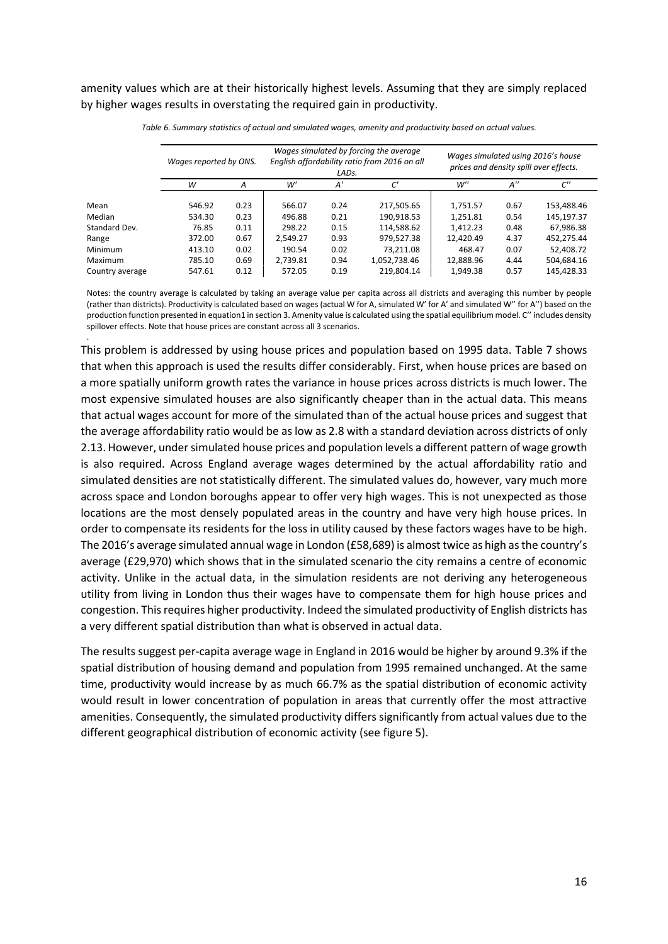amenity values which are at their historically highest levels. Assuming that they are simply replaced by higher wages results in overstating the required gain in productivity.

|                 | Wages reported by ONS. |      |          | LAD <sub>S</sub> . | Wages simulated by forcing the average<br>English affordability ratio from 2016 on all | Wages simulated using 2016's house<br>prices and density spill over effects. |                    |                    |
|-----------------|------------------------|------|----------|--------------------|----------------------------------------------------------------------------------------|------------------------------------------------------------------------------|--------------------|--------------------|
|                 | w                      | A    | w'       | A'                 | C'                                                                                     | W''                                                                          | $A^{\prime\prime}$ | $C^{\prime\prime}$ |
| Mean            | 546.92                 | 0.23 | 566.07   | 0.24               | 217,505.65                                                                             | 1,751.57                                                                     | 0.67               | 153,488.46         |
| Median          | 534.30                 | 0.23 | 496.88   | 0.21               | 190,918.53                                                                             | 1,251.81                                                                     | 0.54               | 145,197.37         |
| Standard Dev.   | 76.85                  | 0.11 | 298.22   | 0.15               | 114,588.62                                                                             | 1,412.23                                                                     | 0.48               | 67,986.38          |
| Range           | 372.00                 | 0.67 | 2.549.27 | 0.93               | 979,527.38                                                                             | 12,420.49                                                                    | 4.37               | 452,275.44         |
| Minimum         | 413.10                 | 0.02 | 190.54   | 0.02               | 73,211.08                                                                              | 468.47                                                                       | 0.07               | 52,408.72          |
| Maximum         | 785.10                 | 0.69 | 2,739.81 | 0.94               | 1,052,738.46                                                                           | 12,888.96                                                                    | 4.44               | 504,684.16         |
| Country average | 547.61                 | 0.12 | 572.05   | 0.19               | 219,804.14                                                                             | 1.949.38                                                                     | 0.57               | 145.428.33         |

*Table 6. Summary statistics of actual and simulated wages, amenity and productivity based on actual values.* 

Notes: the country average is calculated by taking an average value per capita across all districts and averaging this number by people (rather than districts). Productivity is calculated based on wages (actual W for A, simulated W' for A' and simulated W'' for A'') based on the production function presented in equation1 in section 3. Amenity value is calculated using the spatial equilibrium model. C'' includes density spillover effects. Note that house prices are constant across all 3 scenarios.

.

This problem is addressed by using house prices and population based on 1995 data. Table 7 shows that when this approach is used the results differ considerably. First, when house prices are based on a more spatially uniform growth rates the variance in house prices across districts is much lower. The most expensive simulated houses are also significantly cheaper than in the actual data. This means that actual wages account for more of the simulated than of the actual house prices and suggest that the average affordability ratio would be as low as 2.8 with a standard deviation across districts of only 2.13. However, under simulated house prices and population levels a different pattern of wage growth is also required. Across England average wages determined by the actual affordability ratio and simulated densities are not statistically different. The simulated values do, however, vary much more across space and London boroughs appear to offer very high wages. This is not unexpected as those locations are the most densely populated areas in the country and have very high house prices. In order to compensate its residents for the loss in utility caused by these factors wages have to be high. The 2016's average simulated annual wage in London (£58,689) is almost twice as high as the country's average (£29,970) which shows that in the simulated scenario the city remains a centre of economic activity. Unlike in the actual data, in the simulation residents are not deriving any heterogeneous utility from living in London thus their wages have to compensate them for high house prices and congestion. This requires higher productivity. Indeed the simulated productivity of English districts has a very different spatial distribution than what is observed in actual data.

The results suggest per-capita average wage in England in 2016 would be higher by around 9.3% if the spatial distribution of housing demand and population from 1995 remained unchanged. At the same time, productivity would increase by as much 66.7% as the spatial distribution of economic activity would result in lower concentration of population in areas that currently offer the most attractive amenities. Consequently, the simulated productivity differs significantly from actual values due to the different geographical distribution of economic activity (see figure 5).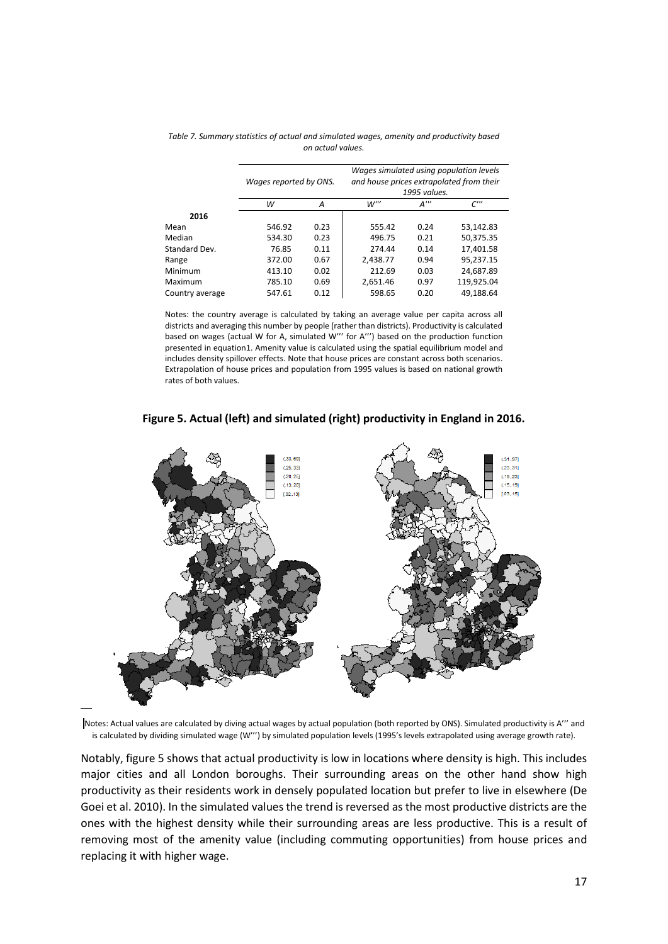| Wages simulated using population levels<br>and house prices extrapolated from their<br>1995 values. |  |                                                                                  |
|-----------------------------------------------------------------------------------------------------|--|----------------------------------------------------------------------------------|
| $W^{\prime\prime}$                                                                                  |  | $C^{\prime\prime\prime}$                                                         |
|                                                                                                     |  |                                                                                  |
| 555.42                                                                                              |  | 53,142.83                                                                        |
| 496.75                                                                                              |  | 50,375.35                                                                        |
| 274.44                                                                                              |  | 17,401.58                                                                        |
| 2.438.77                                                                                            |  | 95,237.15                                                                        |
| 212.69                                                                                              |  | 24,687.89                                                                        |
| 2.651.46                                                                                            |  | 119,925.04                                                                       |
| 598.65                                                                                              |  | 49.188.64                                                                        |
|                                                                                                     |  | $A^{\prime\prime\prime}$<br>0.24<br>0.21<br>0.14<br>0.94<br>0.03<br>0.97<br>0.20 |

*Table 7. Summary statistics of actual and simulated wages, amenity and productivity based on actual values.* 

Notes: the country average is calculated by taking an average value per capita across all districts and averaging this number by people (rather than districts). Productivity is calculated based on wages (actual W for A, simulated W''' for A''') based on the production function presented in equation1. Amenity value is calculated using the spatial equilibrium model and includes density spillover effects. Note that house prices are constant across both scenarios. Extrapolation of house prices and population from 1995 values is based on national growth rates of both values.





Notes: Actual values are calculated by diving actual wages by actual population (both reported by ONS). Simulated productivity is A"' and is calculated by dividing simulated wage (W''') by simulated population levels (1995's levels extrapolated using average growth rate).

Notably, figure 5 shows that actual productivity is low in locations where density is high. This includes major cities and all London boroughs. Their surrounding areas on the other hand show high productivity as their residents work in densely populated location but prefer to live in elsewhere (De Goei et al. 2010). In the simulated values the trend is reversed as the most productive districts are the ones with the highest density while their surrounding areas are less productive. This is a result of removing most of the amenity value (including commuting opportunities) from house prices and replacing it with higher wage.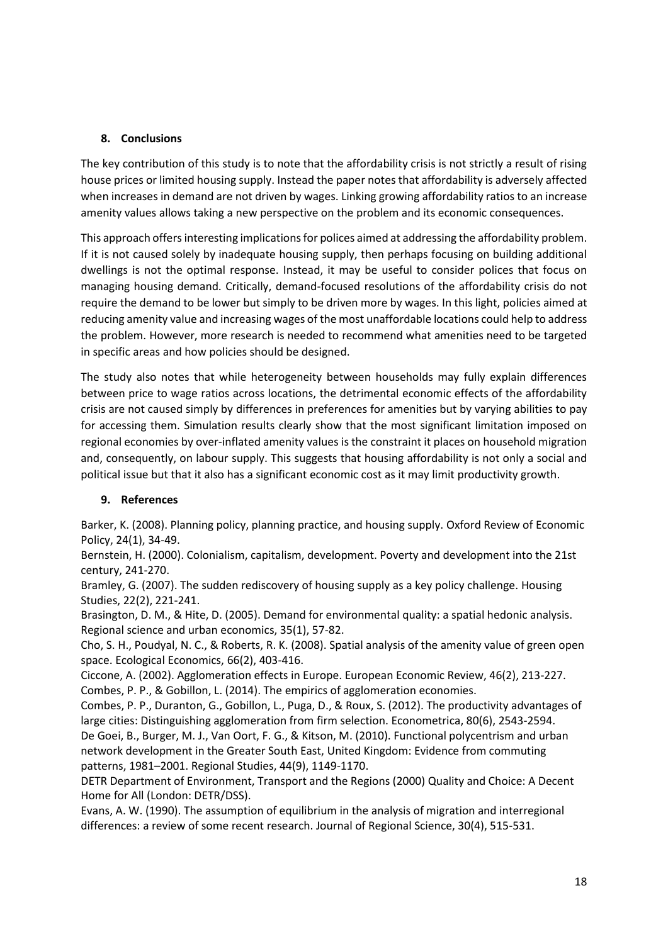## **8. Conclusions**

The key contribution of this study is to note that the affordability crisis is not strictly a result of rising house prices or limited housing supply. Instead the paper notes that affordability is adversely affected when increases in demand are not driven by wages. Linking growing affordability ratios to an increase amenity values allows taking a new perspective on the problem and its economic consequences.

This approach offers interesting implications for polices aimed at addressing the affordability problem. If it is not caused solely by inadequate housing supply, then perhaps focusing on building additional dwellings is not the optimal response. Instead, it may be useful to consider polices that focus on managing housing demand. Critically, demand-focused resolutions of the affordability crisis do not require the demand to be lower but simply to be driven more by wages. In this light, policies aimed at reducing amenity value and increasing wages of the most unaffordable locations could help to address the problem. However, more research is needed to recommend what amenities need to be targeted in specific areas and how policies should be designed.

The study also notes that while heterogeneity between households may fully explain differences between price to wage ratios across locations, the detrimental economic effects of the affordability crisis are not caused simply by differences in preferences for amenities but by varying abilities to pay for accessing them. Simulation results clearly show that the most significant limitation imposed on regional economies by over-inflated amenity values is the constraint it places on household migration and, consequently, on labour supply. This suggests that housing affordability is not only a social and political issue but that it also has a significant economic cost as it may limit productivity growth.

### **9. References**

Barker, K. (2008). Planning policy, planning practice, and housing supply. Oxford Review of Economic Policy, 24(1), 34-49.

Bernstein, H. (2000). Colonialism, capitalism, development. Poverty and development into the 21st century, 241-270.

Bramley, G. (2007). The sudden rediscovery of housing supply as a key policy challenge. Housing Studies, 22(2), 221-241.

Brasington, D. M., & Hite, D. (2005). Demand for environmental quality: a spatial hedonic analysis. Regional science and urban economics, 35(1), 57-82.

Cho, S. H., Poudyal, N. C., & Roberts, R. K. (2008). Spatial analysis of the amenity value of green open space. Ecological Economics, 66(2), 403-416.

Ciccone, A. (2002). Agglomeration effects in Europe. European Economic Review, 46(2), 213-227. Combes, P. P., & Gobillon, L. (2014). The empirics of agglomeration economies.

Combes, P. P., Duranton, G., Gobillon, L., Puga, D., & Roux, S. (2012). The productivity advantages of large cities: Distinguishing agglomeration from firm selection. Econometrica, 80(6), 2543-2594.

De Goei, B., Burger, M. J., Van Oort, F. G., & Kitson, M. (2010). Functional polycentrism and urban network development in the Greater South East, United Kingdom: Evidence from commuting patterns, 1981–2001. Regional Studies, 44(9), 1149-1170.

DETR Department of Environment, Transport and the Regions (2000) Quality and Choice: A Decent Home for All (London: DETR/DSS).

Evans, A. W. (1990). The assumption of equilibrium in the analysis of migration and interregional differences: a review of some recent research. Journal of Regional Science, 30(4), 515-531.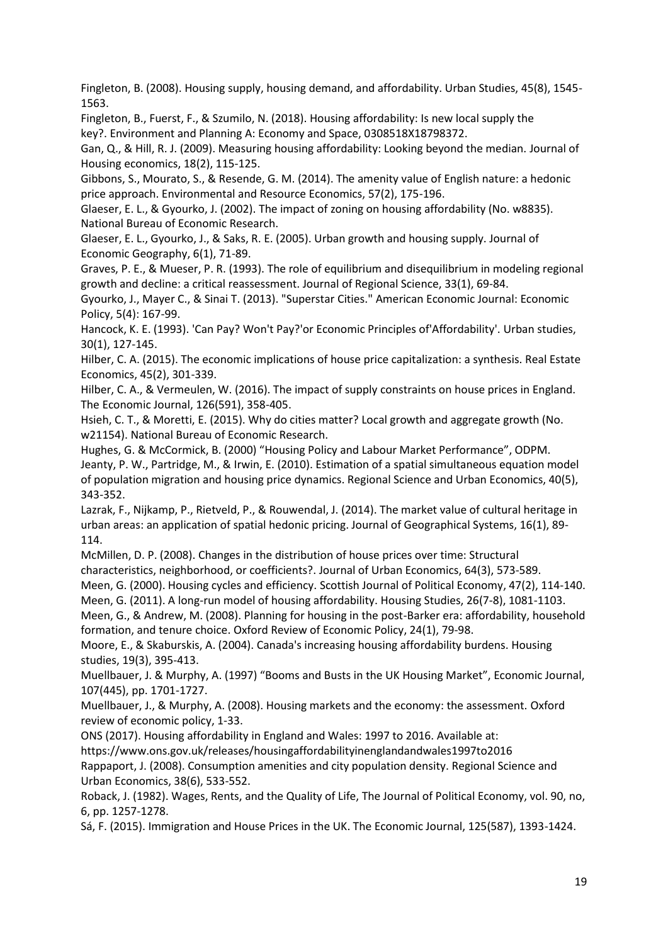Fingleton, B. (2008). Housing supply, housing demand, and affordability. Urban Studies, 45(8), 1545- 1563.

Fingleton, B., Fuerst, F., & Szumilo, N. (2018). Housing affordability: Is new local supply the key?. Environment and Planning A: Economy and Space, 0308518X18798372.

Gan, Q., & Hill, R. J. (2009). Measuring housing affordability: Looking beyond the median. Journal of Housing economics, 18(2), 115-125.

Gibbons, S., Mourato, S., & Resende, G. M. (2014). The amenity value of English nature: a hedonic price approach. Environmental and Resource Economics, 57(2), 175-196.

Glaeser, E. L., & Gyourko, J. (2002). The impact of zoning on housing affordability (No. w8835). National Bureau of Economic Research.

Glaeser, E. L., Gyourko, J., & Saks, R. E. (2005). Urban growth and housing supply. Journal of Economic Geography, 6(1), 71-89.

Graves, P. E., & Mueser, P. R. (1993). The role of equilibrium and disequilibrium in modeling regional growth and decline: a critical reassessment. Journal of Regional Science, 33(1), 69-84.

Gyourko, J., Mayer C., & Sinai T. (2013). "Superstar Cities." American Economic Journal: Economic Policy, 5(4): 167-99.

Hancock, K. E. (1993). 'Can Pay? Won't Pay?'or Economic Principles of'Affordability'. Urban studies, 30(1), 127-145.

Hilber, C. A. (2015). The economic implications of house price capitalization: a synthesis. Real Estate Economics, 45(2), 301-339.

Hilber, C. A., & Vermeulen, W. (2016). The impact of supply constraints on house prices in England. The Economic Journal, 126(591), 358-405.

Hsieh, C. T., & Moretti, E. (2015). Why do cities matter? Local growth and aggregate growth (No. w21154). National Bureau of Economic Research.

Hughes, G. & McCormick, B. (2000) "Housing Policy and Labour Market Performance", ODPM. Jeanty, P. W., Partridge, M., & Irwin, E. (2010). Estimation of a spatial simultaneous equation model of population migration and housing price dynamics. Regional Science and Urban Economics, 40(5), 343-352.

Lazrak, F., Nijkamp, P., Rietveld, P., & Rouwendal, J. (2014). The market value of cultural heritage in urban areas: an application of spatial hedonic pricing. Journal of Geographical Systems, 16(1), 89- 114.

McMillen, D. P. (2008). Changes in the distribution of house prices over time: Structural characteristics, neighborhood, or coefficients?. Journal of Urban Economics, 64(3), 573-589.

Meen, G. (2000). Housing cycles and efficiency. Scottish Journal of Political Economy, 47(2), 114-140.

Meen, G. (2011). A long-run model of housing affordability. Housing Studies, 26(7-8), 1081-1103. Meen, G., & Andrew, M. (2008). Planning for housing in the post-Barker era: affordability, household formation, and tenure choice. Oxford Review of Economic Policy, 24(1), 79-98.

Moore, E., & Skaburskis, A. (2004). Canada's increasing housing affordability burdens. Housing studies, 19(3), 395-413.

Muellbauer, J. & Murphy, A. (1997) "Booms and Busts in the UK Housing Market", Economic Journal, 107(445), pp. 1701-1727.

Muellbauer, J., & Murphy, A. (2008). Housing markets and the economy: the assessment. Oxford review of economic policy, 1-33.

ONS (2017). Housing affordability in England and Wales: 1997 to 2016. Available at:

<https://www.ons.gov.uk/releases/housingaffordabilityinenglandandwales1997to2016>

Rappaport, J. (2008). Consumption amenities and city population density. Regional Science and Urban Economics, 38(6), 533-552.

Roback, J. (1982). Wages, Rents, and the Quality of Life, The Journal of Political Economy, vol. 90, no, 6, pp. 1257-1278.

Sá, F. (2015). Immigration and House Prices in the UK. The Economic Journal, 125(587), 1393-1424.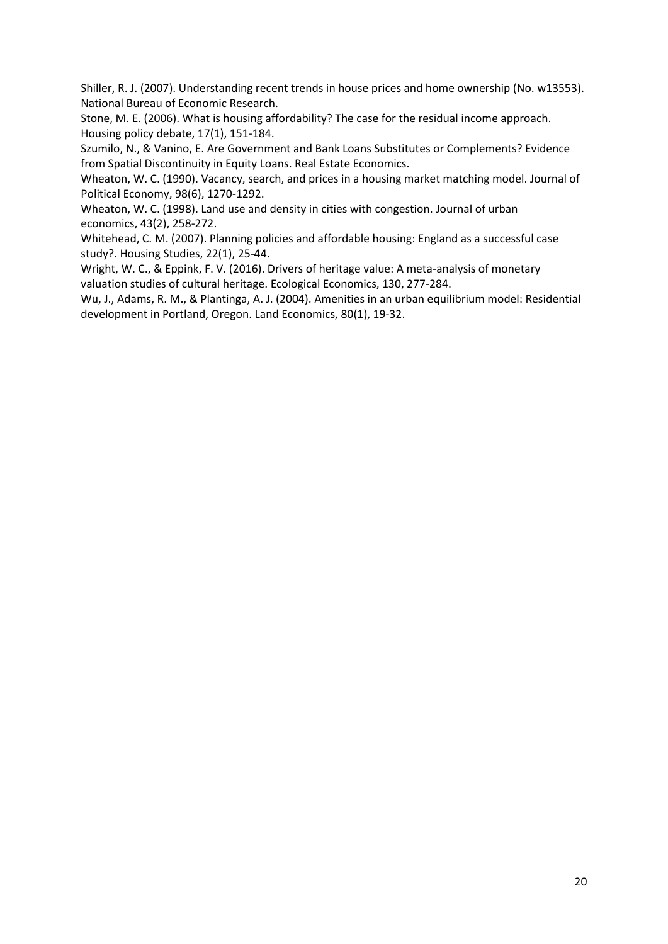Shiller, R. J. (2007). Understanding recent trends in house prices and home ownership (No. w13553). National Bureau of Economic Research.

Stone, M. E. (2006). What is housing affordability? The case for the residual income approach. Housing policy debate, 17(1), 151-184.

Szumilo, N., & Vanino, E. Are Government and Bank Loans Substitutes or Complements? Evidence from Spatial Discontinuity in Equity Loans. Real Estate Economics.

Wheaton, W. C. (1990). Vacancy, search, and prices in a housing market matching model. Journal of Political Economy, 98(6), 1270-1292.

Wheaton, W. C. (1998). Land use and density in cities with congestion. Journal of urban economics, 43(2), 258-272.

Whitehead, C. M. (2007). Planning policies and affordable housing: England as a successful case study?. Housing Studies, 22(1), 25-44.

Wright, W. C., & Eppink, F. V. (2016). Drivers of heritage value: A meta-analysis of monetary valuation studies of cultural heritage. Ecological Economics, 130, 277-284.

Wu, J., Adams, R. M., & Plantinga, A. J. (2004). Amenities in an urban equilibrium model: Residential development in Portland, Oregon. Land Economics, 80(1), 19-32.